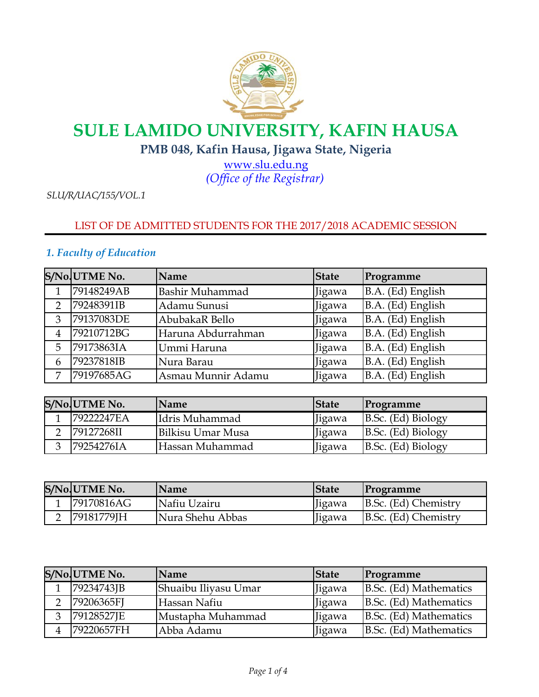

# **SULE LAMIDO UNIVERSITY, KAFIN HAUSA**

### **PMB 048, Kafin Hausa, Jigawa State, Nigeria**

*[\(](http://www.slu.edu.ng/)Office of the Registrar)* www.slu.edu.ng

*SLU/R/UAC/155/VOL.1*

### LIST OF DE ADMITTED STUDENTS FOR THE 2017/2018 ACADEMIC SESSION

### *1. Faculty of Education*

|                | S/No.UTME No. | Name                   | <b>State</b> | Programme         |
|----------------|---------------|------------------------|--------------|-------------------|
|                | 79148249AB    | <b>Bashir Muhammad</b> | Jigawa       | B.A. (Ed) English |
| $\overline{2}$ | 79248391IB    | Adamu Sunusi           | Jigawa       | B.A. (Ed) English |
| 3              | 79137083DE    | AbubakaR Bello         | Jigawa       | B.A. (Ed) English |
| 4              | 79210712BG    | Haruna Abdurrahman     | Jigawa       | B.A. (Ed) English |
| 5              | 79173863IA    | Ummi Haruna            | Jigawa       | B.A. (Ed) English |
| 6              | 79237818IB    | Nura Barau             | Jigawa       | B.A. (Ed) English |
| 7              | 79197685AG    | Asmau Munnir Adamu     | Jigawa       | B.A. (Ed) English |

| S/No UTME No. | <b>Name</b>       | <b>State</b> | <b>Programme</b>   |
|---------------|-------------------|--------------|--------------------|
| 79222247EA    | Idris Muhammad    | Jigawa       | B.Sc. (Ed) Biology |
| 79127268II    | Bilkisu Umar Musa | Jigawa       | B.Sc. (Ed) Biology |
| 179254276IA   | Hassan Muhammad   | Jigawa       | B.Sc. (Ed) Biology |

|   | S/No UTME No. | <b>Name</b>      | <b>State</b>  | <b>Programme</b>     |
|---|---------------|------------------|---------------|----------------------|
|   | 79170816AG    | Nafiu Uzairu     | <b>Jigawa</b> | B.Sc. (Ed) Chemistry |
| ∸ | [79181779]H   | Nura Shehu Abbas | Jigawa        | B.Sc. (Ed) Chemistry |

| S/No UTME No. | <b>Name</b>          | <b>State</b> | <b>Programme</b>       |
|---------------|----------------------|--------------|------------------------|
| 79234743JB    | Shuaibu Iliyasu Umar | Jigawa       | B.Sc. (Ed) Mathematics |
| 79206365FJ    | Hassan Nafiu         | Jigawa       | B.Sc. (Ed) Mathematics |
| 79128527JE    | Mustapha Muhammad    | Jigawa       | B.Sc. (Ed) Mathematics |
| 79220657FH    | Abba Adamu           | Jigawa       | B.Sc. (Ed) Mathematics |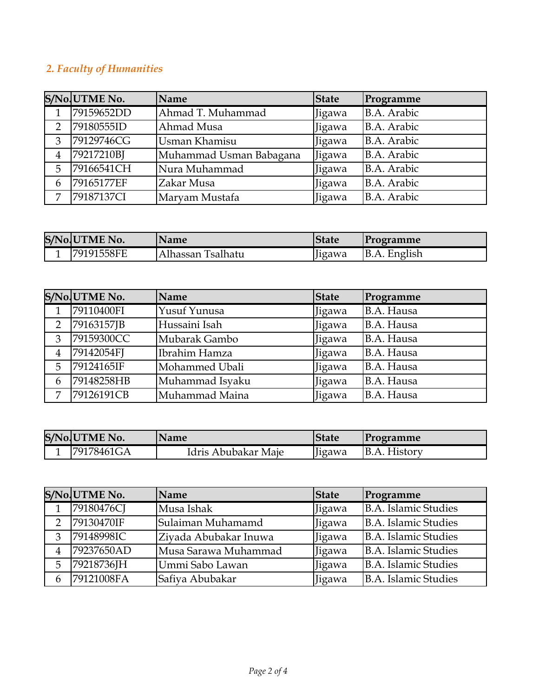## *2. Faculty of Humanities*

|                | S/No UTME No. | Name                    | <b>State</b> | Programme          |
|----------------|---------------|-------------------------|--------------|--------------------|
|                | 79159652DD    | Ahmad T. Muhammad       | Jigawa       | B.A. Arabic        |
| $\overline{2}$ | 79180555ID    | Ahmad Musa              | Jigawa       | B.A. Arabic        |
| 3              | 79129746CG    | Usman Khamisu           | Jigawa       | B.A. Arabic        |
| $\overline{4}$ | 79217210BJ    | Muhammad Usman Babagana | Jigawa       | B.A. Arabic        |
| 5              | 79166541CH    | Nura Muhammad           | Jigawa       | B.A. Arabic        |
| 6              | 79165177EF    | Zakar Musa              | Jigawa       | <b>B.A.</b> Arabic |
| 7              | 79187137CI    | Maryam Mustafa          | Jigawa       | B.A. Arabic        |

| S/No.UTME No. | <b>Name</b>       | <b>State</b> | Programme    |
|---------------|-------------------|--------------|--------------|
| l79191558FE   | Alhassan Tsalhatu | lgawa        | B.A. English |

|                | S/No.UTME No. | Name            | <b>State</b> | Programme  |
|----------------|---------------|-----------------|--------------|------------|
| 1              | 79110400FI    | Yusuf Yunusa    | Jigawa       | B.A. Hausa |
| $\overline{2}$ | 79163157JB    | Hussaini Isah   | Jigawa       | B.A. Hausa |
| 3              | 79159300CC    | Mubarak Gambo   | Jigawa       | B.A. Hausa |
| 4              | 79142054FJ    | Ibrahim Hamza   | Jigawa       | B.A. Hausa |
| 5              | 79124165IF    | Mohammed Ubali  | Jigawa       | B.A. Hausa |
| 6              | 79148258HB    | Muhammad Isyaku | Jigawa       | B.A. Hausa |
| 7              | 79126191CB    | Muhammad Maina  | Jigawa       | B.A. Hausa |

| S/No.UTME No. | <b>Name</b>         | <b>State</b> | <i><u>Programme</u></i> |
|---------------|---------------------|--------------|-------------------------|
| 179178461GA   | Idris Abubakar Maje | ligawa       | IB.A.<br>History        |

|                | S/No UTME No. | <b>Name</b>           | <b>State</b> | Programme            |
|----------------|---------------|-----------------------|--------------|----------------------|
|                | 79180476CJ    | Musa Ishak            | Jigawa       | B.A. Islamic Studies |
| $\overline{2}$ | 79130470IF    | Sulaiman Muhamamd     | Jigawa       | B.A. Islamic Studies |
| 3              | 79148998IC    | Ziyada Abubakar Inuwa | Jigawa       | B.A. Islamic Studies |
|                | 79237650AD    | Musa Sarawa Muhammad  | Jigawa       | B.A. Islamic Studies |
| 5              | 79218736JH    | Ummi Sabo Lawan       | Jigawa       | B.A. Islamic Studies |
| 6              | 79121008FA    | Safiya Abubakar       | Jigawa       | B.A. Islamic Studies |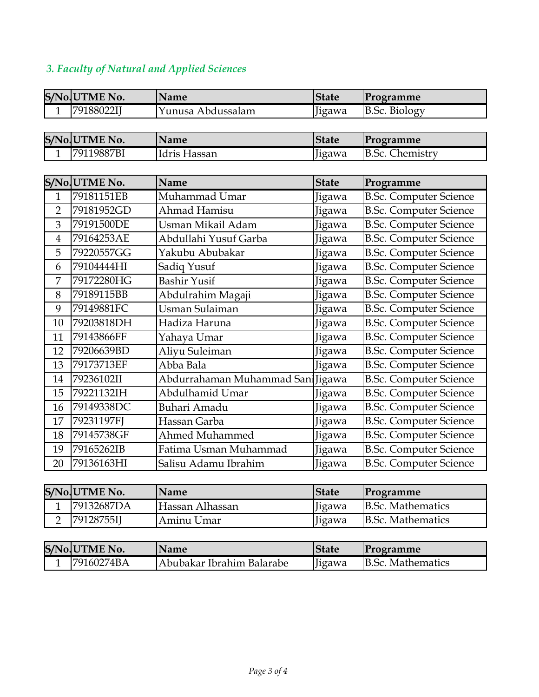## *3. Faculty of Natural and Applied Sciences*

|                | S/No UTME No. | Name                             | <b>State</b> | Programme                     |
|----------------|---------------|----------------------------------|--------------|-------------------------------|
| $\mathbf{1}$   | 79188022IJ    | Yunusa Abdussalam                | Jigawa       | <b>B.Sc. Biology</b>          |
|                |               |                                  |              |                               |
|                | S/No UTME No. | <b>Name</b>                      | <b>State</b> | Programme                     |
| 1              | 79119887BI    | Idris Hassan                     | Jigawa       | <b>B.Sc. Chemistry</b>        |
|                |               |                                  |              |                               |
|                | S/No.UTME No. | <b>Name</b>                      | <b>State</b> | Programme                     |
| $\mathbf{1}$   | 79181151EB    | Muhammad Umar                    | Jigawa       | <b>B.Sc. Computer Science</b> |
| $\overline{2}$ | 79181952GD    | Ahmad Hamisu                     | Jigawa       | <b>B.Sc. Computer Science</b> |
| 3              | 79191500DE    | Usman Mikail Adam                | Jigawa       | <b>B.Sc. Computer Science</b> |
| $\overline{4}$ | 79164253AE    | Abdullahi Yusuf Garba            | Jigawa       | <b>B.Sc. Computer Science</b> |
| 5              | 79220557GG    | Yakubu Abubakar                  | Jigawa       | <b>B.Sc. Computer Science</b> |
| 6              | 79104444HI    | Sadiq Yusuf                      | Jigawa       | <b>B.Sc. Computer Science</b> |
| $\overline{7}$ | 79172280HG    | <b>Bashir Yusif</b>              | Jigawa       | <b>B.Sc. Computer Science</b> |
| 8              | 79189115BB    | Abdulrahim Magaji                | Jigawa       | <b>B.Sc. Computer Science</b> |
| 9              | 79149881FC    | Usman Sulaiman                   | Jigawa       | <b>B.Sc. Computer Science</b> |
| 10             | 79203818DH    | Hadiza Haruna                    | Jigawa       | <b>B.Sc. Computer Science</b> |
| 11             | 79143866FF    | Yahaya Umar                      | Jigawa       | <b>B.Sc. Computer Science</b> |
| 12             | 79206639BD    | Aliyu Suleiman                   | Jigawa       | <b>B.Sc. Computer Science</b> |
| 13             | 79173713EF    | Abba Bala                        | Jigawa       | <b>B.Sc. Computer Science</b> |
| 14             | 79236102II    | Abdurrahaman Muhammad San Jigawa |              | <b>B.Sc. Computer Science</b> |
| 15             | 79221132IH    | Abdulhamid Umar                  | Jigawa       | <b>B.Sc. Computer Science</b> |
| 16             | 79149338DC    | Buhari Amadu                     | Jigawa       | <b>B.Sc. Computer Science</b> |
| 17             | 79231197FJ    | Hassan Garba                     | Jigawa       | <b>B.Sc. Computer Science</b> |
| 18             | 79145738GF    | Ahmed Muhammed                   | Jigawa       | <b>B.Sc. Computer Science</b> |
| 19             | 79165262IB    | Fatima Usman Muhammad            | Jigawa       | <b>B.Sc. Computer Science</b> |
| 20             | 79136163HI    | Salisu Adamu Ibrahim             | Jigawa       | <b>B.Sc. Computer Science</b> |

| S/No UTME No.     | Name            | <b>State</b> | Programme         |
|-------------------|-----------------|--------------|-------------------|
| <b>79132687DA</b> | Hassan Alhassan | Jigawa       | B.Sc. Mathematics |
| 79128755II        | Aminu Umar      | Jigawa       | B.Sc. Mathematics |

| S/No UTME No. | <b>Name</b>               | <b>State</b>                | <i>Programme</i>  |
|---------------|---------------------------|-----------------------------|-------------------|
| l79160274BA   | Abubakar Ibrahim Balarabe | $\iint_{\mathbb{R}}$ jigawa | B.Sc. Mathematics |